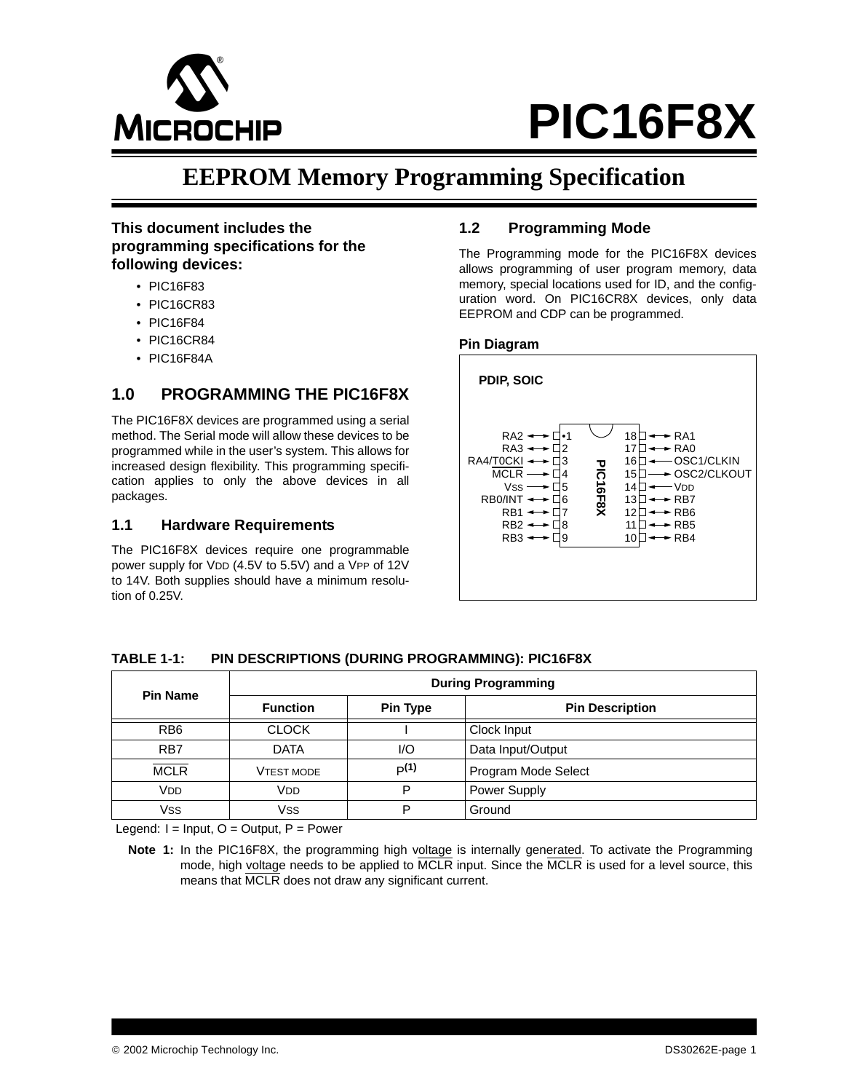

# MICROCHIP **PIC16F8X**

# **EEPROM Memory Programming Specification**

#### **This document includes the programming specifications for the following devices:**

- PIC16F83
- PIC16CR83
- PIC16F84
- PIC16CR84
- PIC16F84A

#### **1.0 PROGRAMMING THE PIC16F8X**

The PIC16F8X devices are programmed using a serial method. The Serial mode will allow these devices to be programmed while in the user's system. This allows for increased design flexibility. This programming specification applies to only the above devices in all packages.

#### **1.1 Hardware Requirements**

The PIC16F8X devices require one programmable power supply for VDD (4.5V to 5.5V) and a VPP of 12V to 14V. Both supplies should have a minimum resolution of 0.25V.

#### **1.2 Programming Mode**

The Programming mode for the PIC16F8X devices allows programming of user program memory, data memory, special locations used for ID, and the configuration word. On PIC16CR8X devices, only data EEPROM and CDP can be programmed.

#### **Pin Diagram**



| <b>TABLE 1-1:</b> | PIN DESCRIPTIONS (DURING PROGRAMMING): PIC16F8X |
|-------------------|-------------------------------------------------|
|-------------------|-------------------------------------------------|

| <b>Pin Name</b>       | <b>During Programming</b> |                 |                        |  |  |  |  |
|-----------------------|---------------------------|-----------------|------------------------|--|--|--|--|
|                       | <b>Function</b>           | <b>Pin Type</b> | <b>Pin Description</b> |  |  |  |  |
| RB <sub>6</sub>       | <b>CLOCK</b>              |                 | Clock Input            |  |  |  |  |
| RB7                   | <b>DATA</b>               | $U$             | Data Input/Output      |  |  |  |  |
| <b>MCLR</b>           | <b>VTEST MODE</b>         | P(1)            | Program Mode Select    |  |  |  |  |
| <b>V<sub>DD</sub></b> | VDD                       | P               | Power Supply           |  |  |  |  |
| <b>VSS</b>            | Vss                       | P               | Ground                 |  |  |  |  |

Legend:  $I = Input, O = Output, P = Power$ 

**Note 1:** In the PIC16F8X, the programming high voltage is internally generated. To activate the Programming mode, high voltage needs to be applied to MCLR input. Since the MCLR is used for a level source, this means that MCLR does not draw any significant current.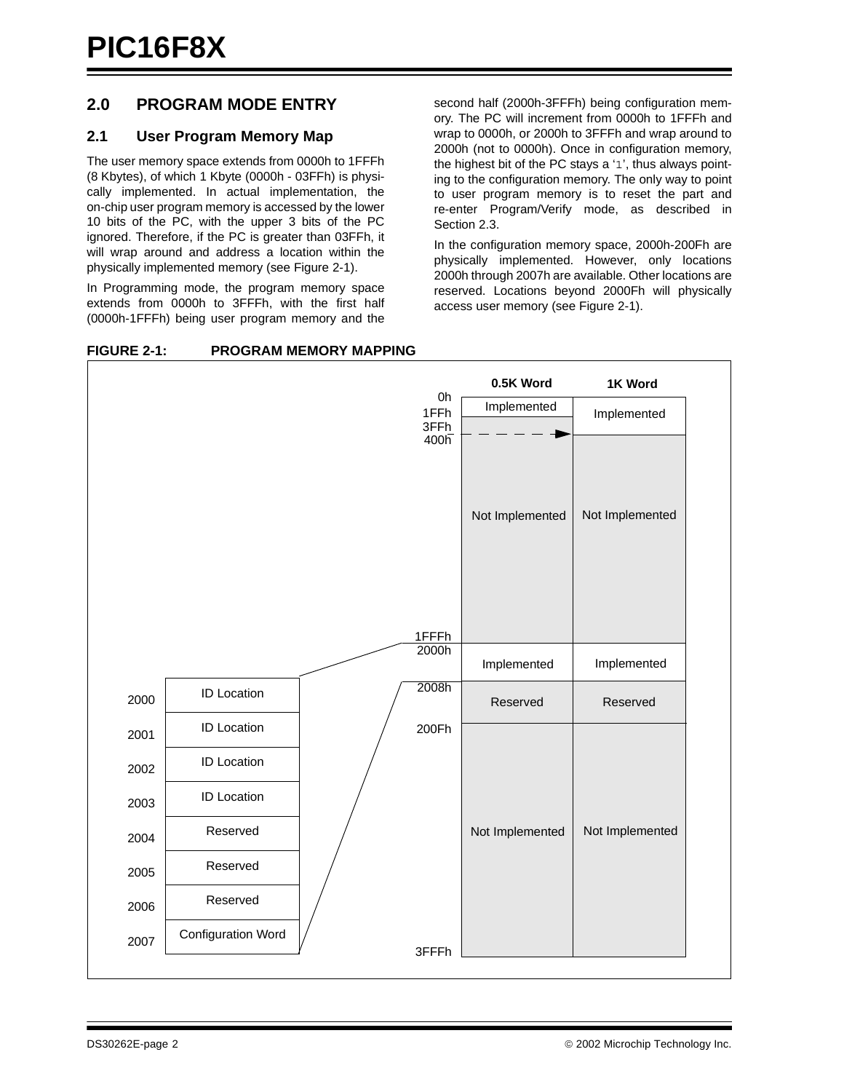## **2.0 PROGRAM MODE ENTRY**

#### **2.1 User Program Memory Map**

The user memory space extends from 0000h to 1FFFh (8 Kbytes), of which 1 Kbyte (0000h - 03FFh) is physically implemented. In actual implementation, the on-chip user program memory is accessed by the lower 10 bits of the PC, with the upper 3 bits of the PC ignored. Therefore, if the PC is greater than 03FFh, it will wrap around and address a location within the physically implemented memory (see [Figure 2-1](#page-1-0)).

In Programming mode, the program memory space extends from 0000h to 3FFFh, with the first half (0000h-1FFFh) being user program memory and the second half (2000h-3FFFh) being configuration memory. The PC will increment from 0000h to 1FFFh and wrap to 0000h, or 2000h to 3FFFh and wrap around to 2000h (not to 0000h). Once in configuration memory, the highest bit of the PC stays a '1', thus always pointing to the configuration memory. The only way to point to user program memory is to reset the part and re-enter Program/Verify mode, as described in [Section 2.3](#page-2-0).

In the configuration memory space, 2000h-200Fh are physically implemented. However, only locations 2000h through 2007h are available. Other locations are reserved. Locations beyond 2000Fh will physically access user memory (see [Figure 2-1](#page-1-0)).



#### <span id="page-1-0"></span>**FIGURE 2-1: PROGRAM MEMORY MAPPING**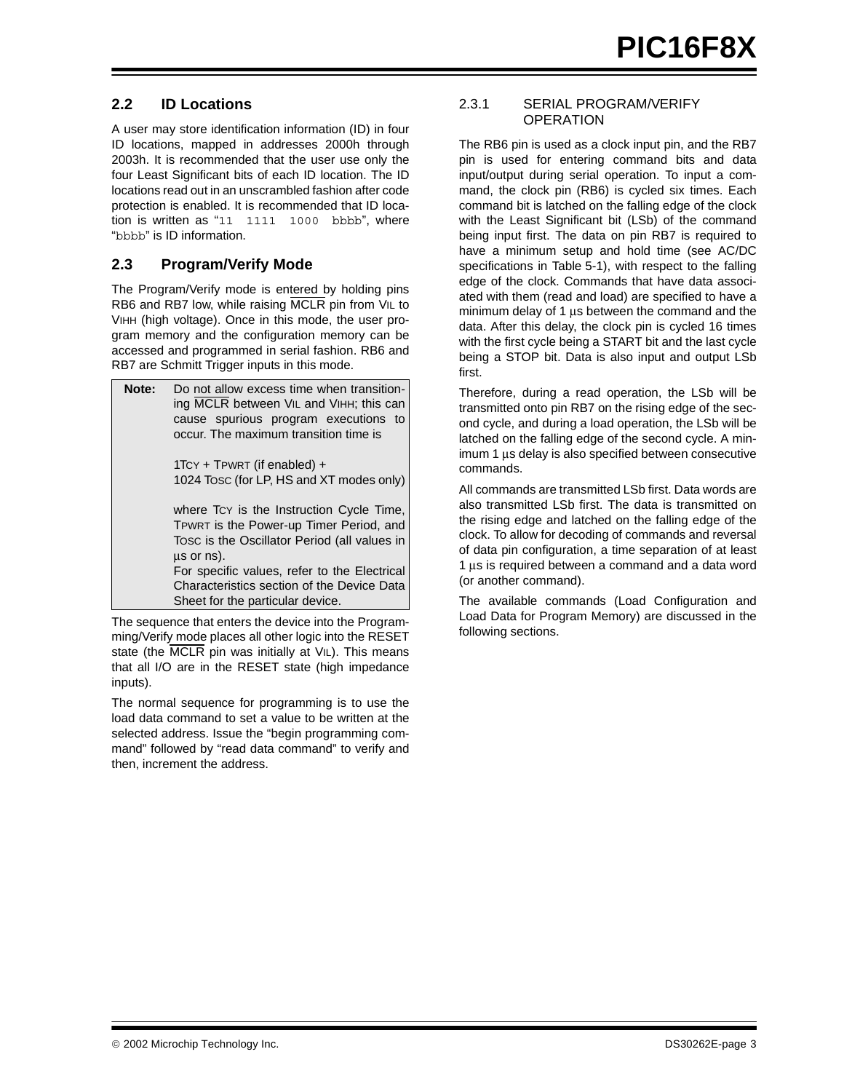## **2.2 ID Locations**

A user may store identification information (ID) in four ID locations, mapped in addresses 2000h through 2003h. It is recommended that the user use only the four Least Significant bits of each ID location. The ID locations read out in an unscrambled fashion after code protection is enabled. It is recommended that ID location is written as "11 1111 1000 bbbb", where "bbbb" is ID information.

## <span id="page-2-0"></span>**2.3 Program/Verify Mode**

The Program/Verify mode is entered by holding pins RB6 and RB7 low, while raising MCLR pin from VIL to VIHH (high voltage). Once in this mode, the user program memory and the configuration memory can be accessed and programmed in serial fashion. RB6 and RB7 are Schmitt Trigger inputs in this mode.

| Note: | Do not allow excess time when transition-<br>ing MCLR between VIL and VIHH; this can<br>cause spurious program executions to<br>occur. The maximum transition time is |
|-------|-----------------------------------------------------------------------------------------------------------------------------------------------------------------------|
|       | $1TCY + TPWRT$ (if enabled) +<br>1024 Tosc (for LP, HS and XT modes only)                                                                                             |
|       | where TCY is the Instruction Cycle Time,<br>TPWRT is the Power-up Timer Period, and<br>Tosc is the Oscillator Period (all values in<br>$\mu s$ or $ns$ ).             |
|       | For specific values, refer to the Electrical<br>Characteristics section of the Device Data<br>Sheet for the particular device.                                        |

The sequence that enters the device into the Programming/Verify mode places all other logic into the RESET state (the MCLR pin was initially at VIL). This means that all I/O are in the RESET state (high impedance inputs).

The normal sequence for programming is to use the load data command to set a value to be written at the selected address. Issue the "begin programming command" followed by "read data command" to verify and then, increment the address.

#### 2.3.1 SERIAL PROGRAM/VERIFY **OPERATION**

The RB6 pin is used as a clock input pin, and the RB7 pin is used for entering command bits and data input/output during serial operation. To input a command, the clock pin (RB6) is cycled six times. Each command bit is latched on the falling edge of the clock with the Least Significant bit (LSb) of the command being input first. The data on pin RB7 is required to have a minimum setup and hold time (see AC/DC specifications in [Table 5-1\)](#page-12-0), with respect to the falling edge of the clock. Commands that have data associated with them (read and load) are specified to have a minimum delay of 1 µs between the command and the data. After this delay, the clock pin is cycled 16 times with the first cycle being a START bit and the last cycle being a STOP bit. Data is also input and output LSb first.

Therefore, during a read operation, the LSb will be transmitted onto pin RB7 on the rising edge of the second cycle, and during a load operation, the LSb will be latched on the falling edge of the second cycle. A minimum 1 µs delay is also specified between consecutive commands.

All commands are transmitted LSb first. Data words are also transmitted LSb first. The data is transmitted on the rising edge and latched on the falling edge of the clock. To allow for decoding of commands and reversal of data pin configuration, a time separation of at least 1 µs is required between a command and a data word (or another command).

The available commands (Load Configuration and Load Data for Program Memory) are discussed in the following sections.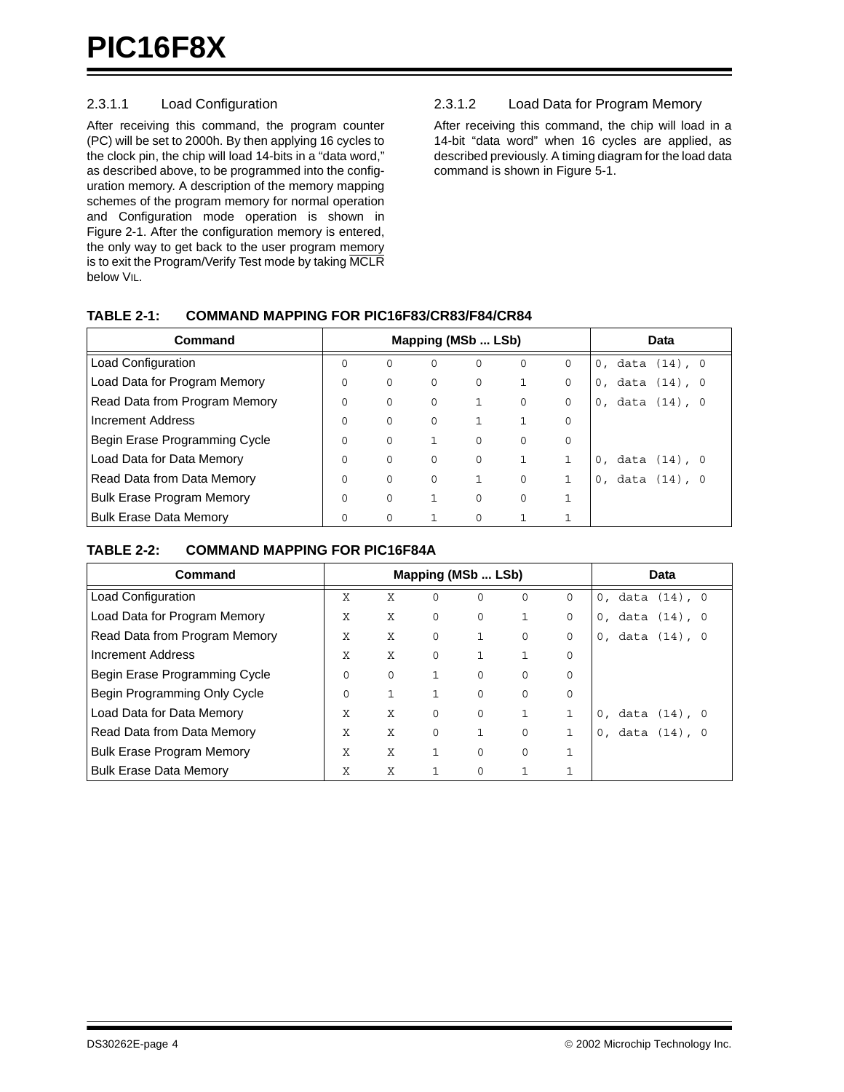#### 2.3.1.1 Load Configuration

After receiving this command, the program counter (PC) will be set to 2000h. By then applying 16 cycles to the clock pin, the chip will load 14-bits in a "data word," as described above, to be programmed into the configuration memory. A description of the memory mapping schemes of the program memory for normal operation and Configuration mode operation is shown in [Figure 2-1.](#page-1-0) After the configuration memory is entered, the only way to get back to the user program memory is to exit the Program/Verify Test mode by taking MCLR below VIL.

#### 2.3.1.2 Load Data for Program Memory

After receiving this command, the chip will load in a 14-bit "data word" when 16 cycles are applied, as described previously. A timing diagram for the load data command is shown in [Figure 5-1.](#page-13-0)

#### **TABLE 2-1: COMMAND MAPPING FOR PIC16F83/CR83/F84/CR84**

| Command                          |   | Mapping (MSb  LSb) |             |          |          | Data     |                    |
|----------------------------------|---|--------------------|-------------|----------|----------|----------|--------------------|
| Load Configuration               | 0 | 0                  | $\Omega$    | 0        | $\Omega$ | $\Omega$ | 0, data (14), 0    |
| Load Data for Program Memory     | 0 | $\Omega$           | $\Omega$    | 0        |          | $\Omega$ | 0, data (14), 0    |
| Read Data from Program Memory    | 0 | 0                  | $\mathbf 0$ |          | 0        | $\Omega$ | 0, data (14), 0    |
| <b>Increment Address</b>         | 0 | $\Omega$           | $\Omega$    |          |          | $\Omega$ |                    |
| Begin Erase Programming Cycle    | 0 | $\Omega$           |             | $\Omega$ | 0        | $\Omega$ |                    |
| Load Data for Data Memory        | 0 | $\Omega$           | 0           | 0        |          | 1        | 0, data $(14)$ , 0 |
| Read Data from Data Memory       | 0 | $\Omega$           | $\Omega$    |          | $\Omega$ | 1        | 0, data (14), 0    |
| <b>Bulk Erase Program Memory</b> | 0 | 0                  |             | 0        | 0        |          |                    |
| <b>Bulk Erase Data Memory</b>    | O | 0                  |             | 0        |          |          |                    |

#### **TABLE 2-2: COMMAND MAPPING FOR PIC16F84A**

| Command                          |   |          | Mapping (MSb  LSb) |          |          |             | Data                       |
|----------------------------------|---|----------|--------------------|----------|----------|-------------|----------------------------|
| Load Configuration               | X | Х        | $\mathbf 0$        | $\Omega$ | $\Omega$ | $\Omega$    | 0, data (14), 0            |
| Load Data for Program Memory     | X | X        | $\mathbf 0$        | 0        |          | 0           | 0, data (14), 0            |
| Read Data from Program Memory    | X | Х        | 0                  |          | 0        | 0           | 0, data (14), 0            |
| Increment Address                | X | X        | 0                  |          |          | $\mathbf 0$ |                            |
| Begin Erase Programming Cycle    | 0 | $\Omega$ |                    | $\Omega$ | $\Omega$ | 0           |                            |
| Begin Programming Only Cycle     | 0 | 1        |                    | $\Omega$ | $\Omega$ | 0           |                            |
| Load Data for Data Memory        | Χ | Х        | $\mathbf 0$        | 0        |          |             | $0, \text{ data } (14), 0$ |
| Read Data from Data Memory       | X | X        | $\mathbf 0$        |          | $\Omega$ |             | 0, data (14), 0            |
| <b>Bulk Erase Program Memory</b> | Χ | X        | 1                  | $\Omega$ | $\Omega$ |             |                            |
| <b>Bulk Erase Data Memory</b>    | Χ | Х        | 1                  | 0        |          |             |                            |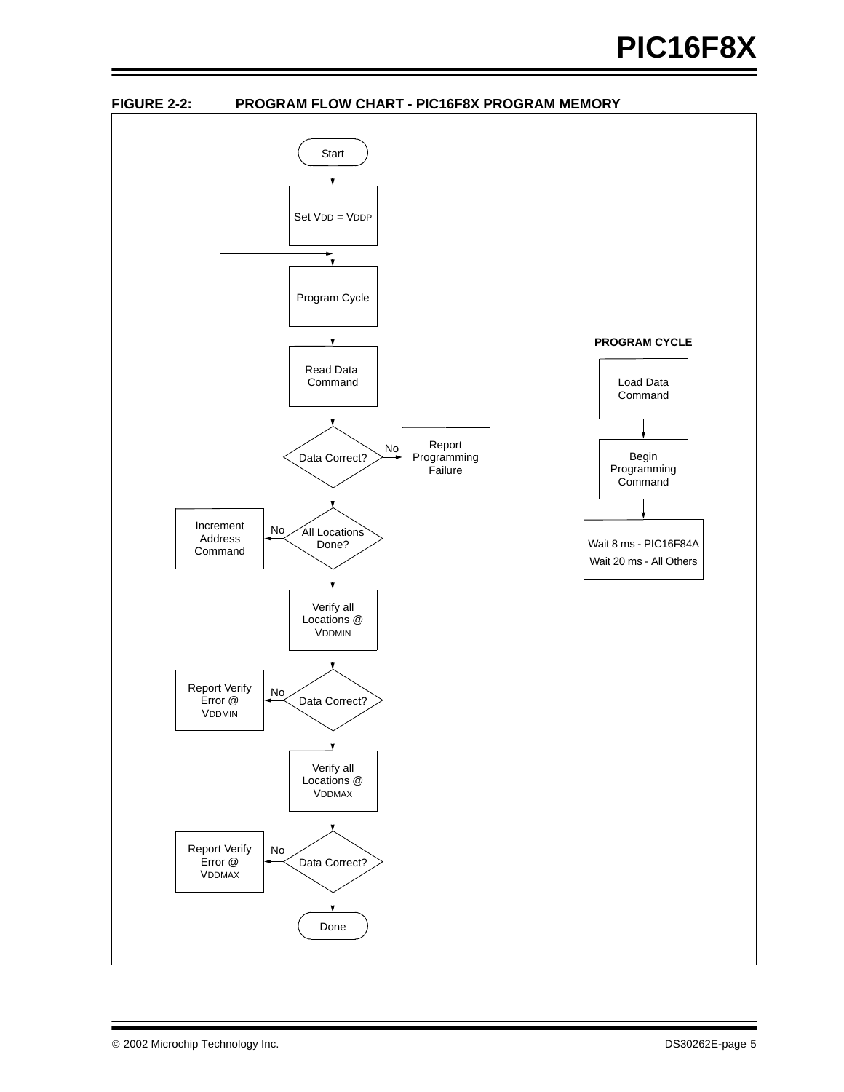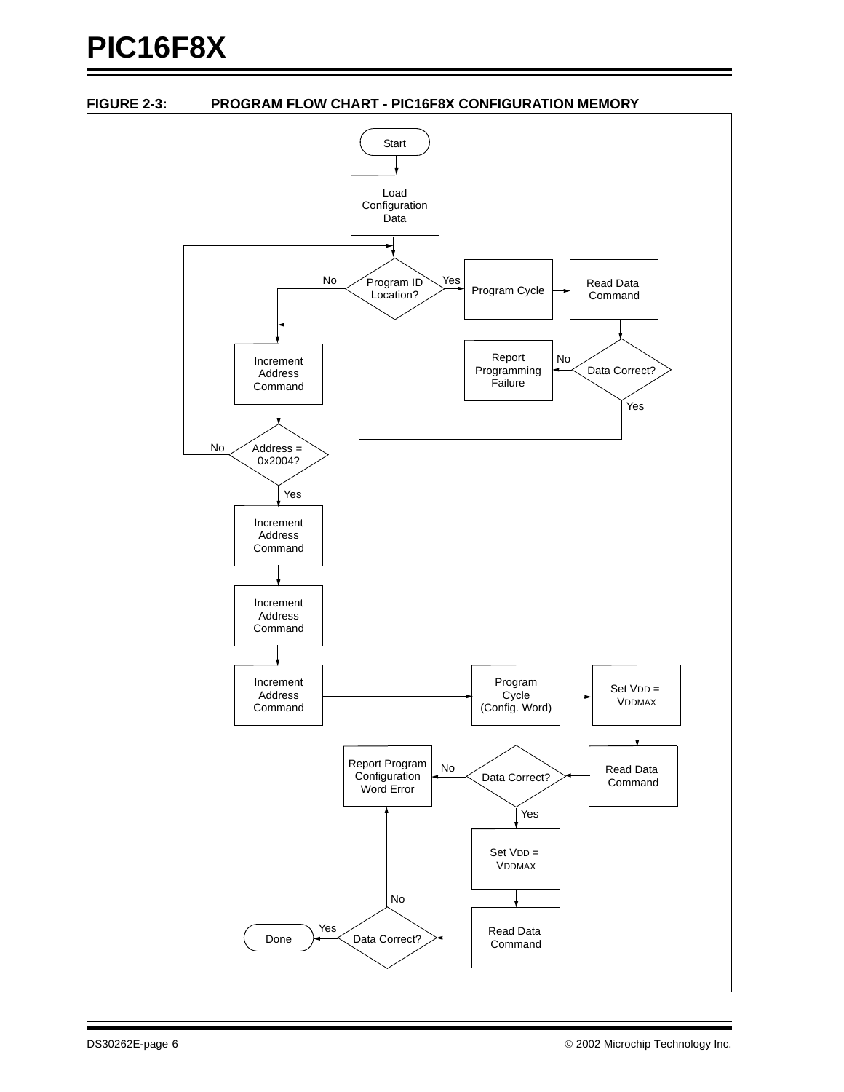

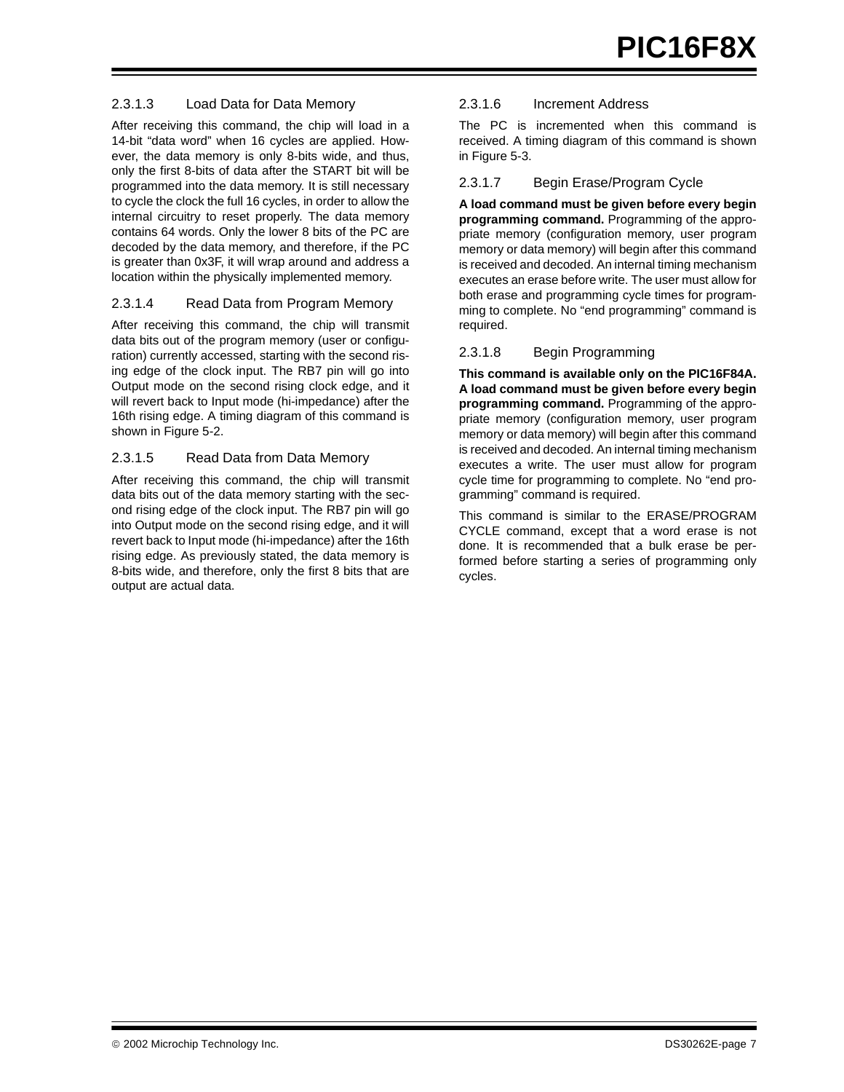#### 2.3.1.3 Load Data for Data Memory

After receiving this command, the chip will load in a 14-bit "data word" when 16 cycles are applied. However, the data memory is only 8-bits wide, and thus, only the first 8-bits of data after the START bit will be programmed into the data memory. It is still necessary to cycle the clock the full 16 cycles, in order to allow the internal circuitry to reset properly. The data memory contains 64 words. Only the lower 8 bits of the PC are decoded by the data memory, and therefore, if the PC is greater than 0x3F, it will wrap around and address a location within the physically implemented memory.

#### 2.3.1.4 Read Data from Program Memory

After receiving this command, the chip will transmit data bits out of the program memory (user or configuration) currently accessed, starting with the second rising edge of the clock input. The RB7 pin will go into Output mode on the second rising clock edge, and it will revert back to Input mode (hi-impedance) after the 16th rising edge. A timing diagram of this command is shown in [Figure 5-2.](#page-13-1)

#### 2.3.1.5 Read Data from Data Memory

After receiving this command, the chip will transmit data bits out of the data memory starting with the second rising edge of the clock input. The RB7 pin will go into Output mode on the second rising edge, and it will revert back to Input mode (hi-impedance) after the 16th rising edge. As previously stated, the data memory is 8-bits wide, and therefore, only the first 8 bits that are output are actual data.

#### 2.3.1.6 Increment Address

The PC is incremented when this command is received. A timing diagram of this command is shown in [Figure 5-3](#page-13-2).

#### 2.3.1.7 Begin Erase/Program Cycle

**A load command must be given before every begin programming command.** Programming of the appropriate memory (configuration memory, user program memory or data memory) will begin after this command is received and decoded. An internal timing mechanism executes an erase before write. The user must allow for both erase and programming cycle times for programming to complete. No "end programming" command is required.

#### 2.3.1.8 Begin Programming

**This command is available only on the PIC16F84A. A load command must be given before every begin programming command.** Programming of the appropriate memory (configuration memory, user program memory or data memory) will begin after this command is received and decoded. An internal timing mechanism executes a write. The user must allow for program cycle time for programming to complete. No "end programming" command is required.

This command is similar to the ERASE/PROGRAM CYCLE command, except that a word erase is not done. It is recommended that a bulk erase be performed before starting a series of programming only cycles.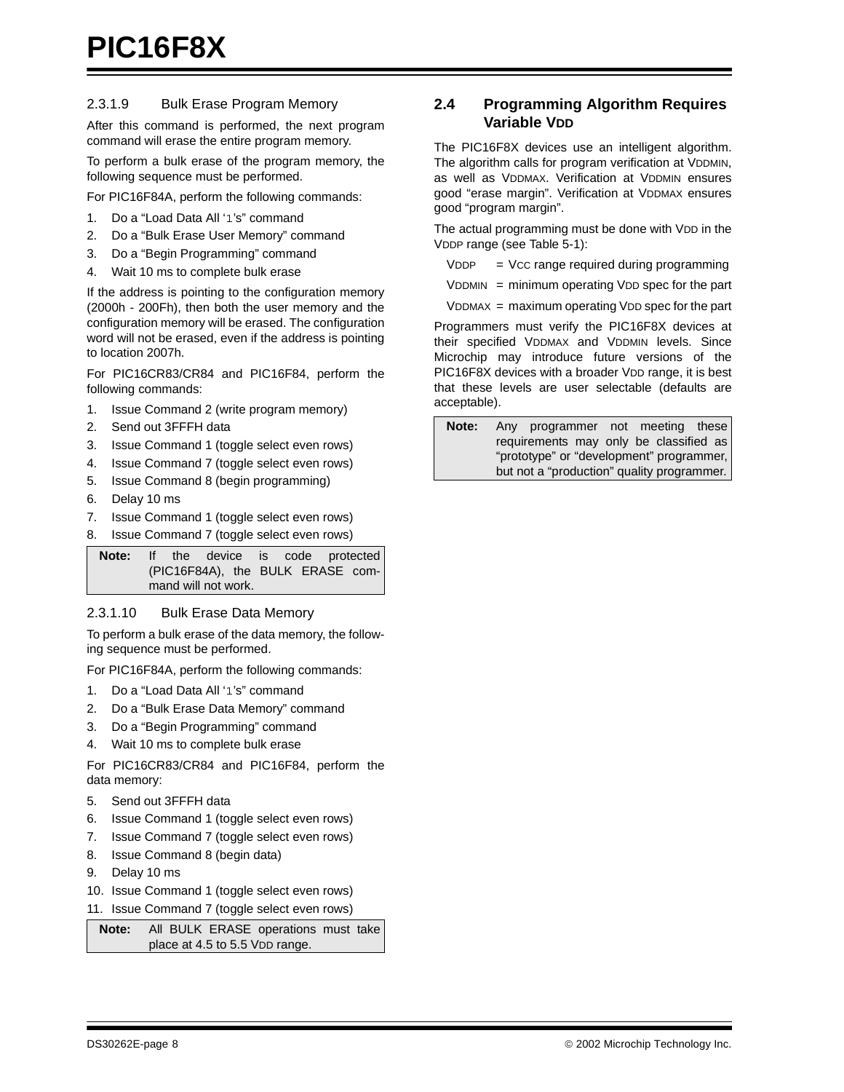**PIC16F8X**

#### 2.3.1.9 Bulk Erase Program Memory

After this command is performed, the next program command will erase the entire program memory.

To perform a bulk erase of the program memory, the following sequence must be performed.

For PIC16F84A, perform the following commands:

- 1. Do a "Load Data All '1's" command
- 2. Do a "Bulk Erase User Memory" command
- 3. Do a "Begin Programming" command
- 4. Wait 10 ms to complete bulk erase

If the address is pointing to the configuration memory (2000h - 200Fh), then both the user memory and the configuration memory will be erased. The configuration word will not be erased, even if the address is pointing to location 2007h.

For PIC16CR83/CR84 and PIC16F84, perform the following commands:

- 1. Issue Command 2 (write program memory)
- 2. Send out 3FFFH data
- 3. Issue Command 1 (toggle select even rows)
- 4. Issue Command 7 (toggle select even rows)
- 5. Issue Command 8 (begin programming)
- 6. Delay 10 ms
- 7. Issue Command 1 (toggle select even rows)
- 8. Issue Command 7 (toggle select even rows)

| <b>Note:</b> If the device is code protected |                                  |  |  |  |  |
|----------------------------------------------|----------------------------------|--|--|--|--|
|                                              | (PIC16F84A), the BULK ERASE com- |  |  |  |  |
|                                              | mand will not work.              |  |  |  |  |

#### 2.3.1.10 Bulk Erase Data Memory

To perform a bulk erase of the data memory, the following sequence must be performed.

For PIC16F84A, perform the following commands:

- 1. Do a "Load Data All '1's" command
- 2. Do a "Bulk Erase Data Memory" command
- 3. Do a "Begin Programming" command
- 4. Wait 10 ms to complete bulk erase

For PIC16CR83/CR84 and PIC16F84, perform the data memory:

- 5. Send out 3FFFH data
- 6. Issue Command 1 (toggle select even rows)
- 7. Issue Command 7 (toggle select even rows)
- 8. Issue Command 8 (begin data)
- 9. Delay 10 ms
- 10. Issue Command 1 (toggle select even rows)
- 11. Issue Command 7 (toggle select even rows)

**Note:** All BULK ERASE operations must take place at 4.5 to 5.5 VDD range.

#### **2.4 Programming Algorithm Requires Variable VDD**

The PIC16F8X devices use an intelligent algorithm. The algorithm calls for program verification at VDDMIN, as well as VDDMAX. Verification at VDDMIN ensures good "erase margin". Verification at VDDMAX ensures good "program margin".

The actual programming must be done with VDD in the VDDP range (see [Table 5-1](#page-12-0)):

 $VDDP = VCC$  range required during programming

 $V$ DDMIN = minimum operating  $V$ DD spec for the part

 $V$ DDMAX = maximum operating  $V$ DD spec for the part

Programmers must verify the PIC16F8X devices at their specified VDDMAX and VDDMIN levels. Since Microchip may introduce future versions of the PIC16F8X devices with a broader VDD range, it is best that these levels are user selectable (defaults are acceptable).

**Note:** Any programmer not meeting these requirements may only be classified as "prototype" or "development" programmer, but not a "production" quality programmer.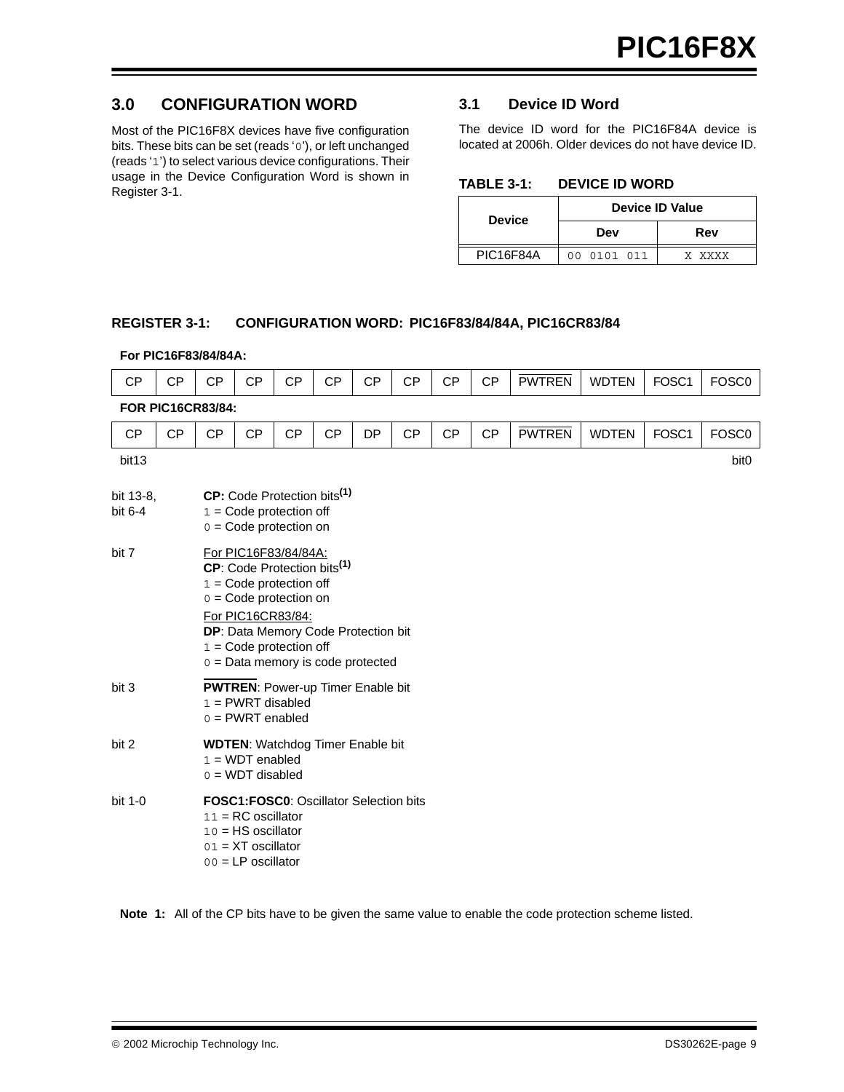## **3.0 CONFIGURATION WORD**

Most of the PIC16F8X devices have five configuration bits. These bits can be set (reads '0'), or left unchanged (reads '1') to select various device configurations. Their usage in the Device Configuration Word is shown in [Register 3-1](#page-8-0).

#### **3.1 Device ID Word**

The device ID word for the PIC16F84A device is located at 2006h. Older devices do not have device ID.

**TABLE 3-1: DEVICE ID WORD**

| <b>Device</b>    | <b>Device ID Value</b> |        |  |  |  |  |  |
|------------------|------------------------|--------|--|--|--|--|--|
|                  | Dev                    | Rev    |  |  |  |  |  |
| <b>PIC16F84A</b> | 00 0101 011            | x xxxx |  |  |  |  |  |

#### <span id="page-8-0"></span>**REGISTER 3-1: CONFIGURATION WORD: PIC16F83/84/84A, PIC16CR83/84**

|           | For PIC16F83/84/84A:                                                                                                                                                                                                                                     |                                                                                                                                               |           |           |           |           |           |           |           |               |              |       |                   |
|-----------|----------------------------------------------------------------------------------------------------------------------------------------------------------------------------------------------------------------------------------------------------------|-----------------------------------------------------------------------------------------------------------------------------------------------|-----------|-----------|-----------|-----------|-----------|-----------|-----------|---------------|--------------|-------|-------------------|
| <b>CP</b> | <b>CP</b>                                                                                                                                                                                                                                                | <b>CP</b>                                                                                                                                     | <b>CP</b> | <b>CP</b> | <b>CP</b> | <b>CP</b> | <b>CP</b> | <b>CP</b> | <b>CP</b> | <b>PWTREN</b> | <b>WDTEN</b> | FOSC1 | FOSC <sub>0</sub> |
|           | <b>FOR PIC16CR83/84:</b>                                                                                                                                                                                                                                 |                                                                                                                                               |           |           |           |           |           |           |           |               |              |       |                   |
| <b>CP</b> | <b>CP</b>                                                                                                                                                                                                                                                | <b>CP</b>                                                                                                                                     | <b>CP</b> | CP        | <b>CP</b> | DP        | CP        | CP        | <b>CP</b> | <b>PWTREN</b> | <b>WDTEN</b> | FOSC1 | FOSC <sub>0</sub> |
| bit13     | bit <sub>0</sub>                                                                                                                                                                                                                                         |                                                                                                                                               |           |           |           |           |           |           |           |               |              |       |                   |
| bit $6-4$ | CP: Code Protection bits <sup>(1)</sup><br>bit 13-8,<br>$1 = Code$ protection off<br>$0 = Code$ protection on                                                                                                                                            |                                                                                                                                               |           |           |           |           |           |           |           |               |              |       |                   |
| bit 7     | For PIC16F83/84/84A:<br>CP: Code Protection bits <sup>(1)</sup><br>$1 = Code$ protection off<br>$0 = Code$ protection on<br>For PIC16CR83/84:<br>DP: Data Memory Code Protection bit<br>$1 = Code$ protection off<br>$0 = Data$ memory is code protected |                                                                                                                                               |           |           |           |           |           |           |           |               |              |       |                   |
| bit 3     | PWTREN: Power-up Timer Enable bit<br>$1 =$ PWRT disabled<br>$0 = PWRT$ enabled                                                                                                                                                                           |                                                                                                                                               |           |           |           |           |           |           |           |               |              |       |                   |
| bit 2     | <b>WDTEN:</b> Watchdog Timer Enable bit<br>$1 = WDT$ enabled<br>$0 = WDT$ disabled                                                                                                                                                                       |                                                                                                                                               |           |           |           |           |           |           |           |               |              |       |                   |
| bit 1-0   |                                                                                                                                                                                                                                                          | <b>FOSC1:FOSC0: Oscillator Selection bits</b><br>$11 = RC$ oscillator<br>$10 = HS$ oscillator<br>$01 = XT$ oscillator<br>$00 = LP$ oscillator |           |           |           |           |           |           |           |               |              |       |                   |

**Note 1:** All of the CP bits have to be given the same value to enable the code protection scheme listed.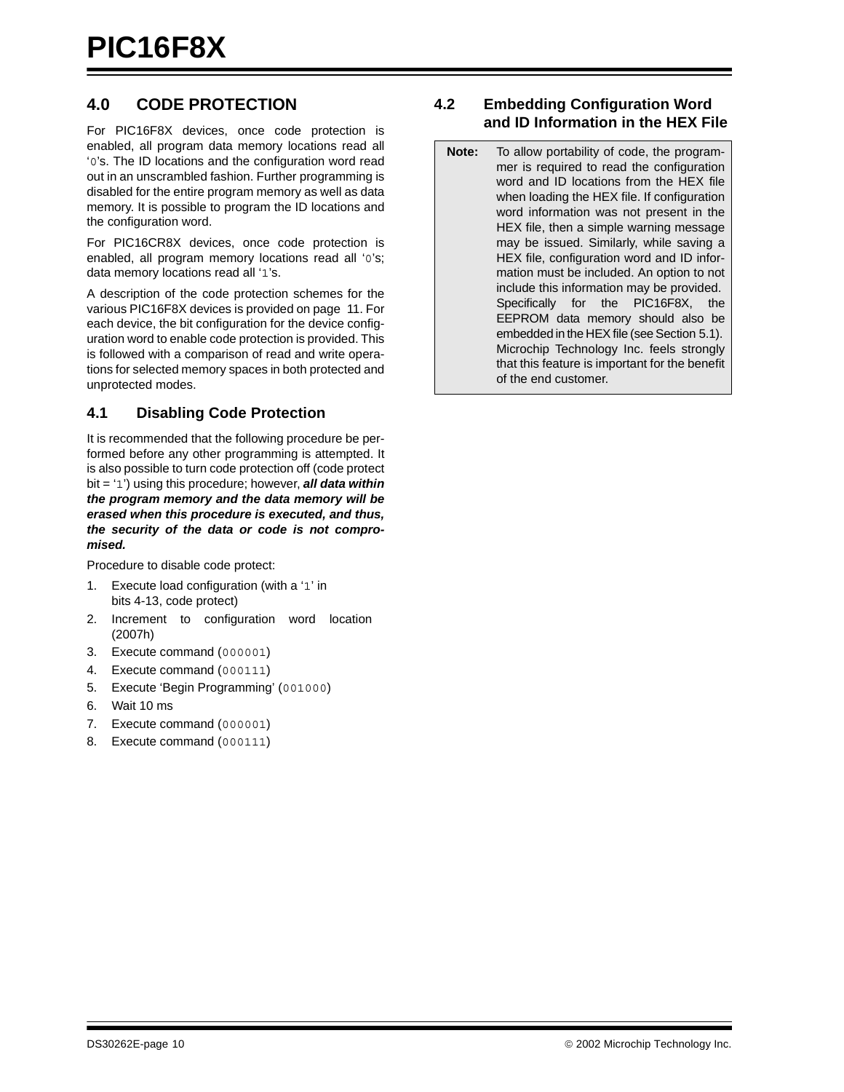## **4.0 CODE PROTECTION**

For PIC16F8X devices, once code protection is enabled, all program data memory locations read all '0's. The ID locations and the configuration word read out in an unscrambled fashion. Further programming is disabled for the entire program memory as well as data memory. It is possible to program the ID locations and the configuration word.

For PIC16CR8X devices, once code protection is enabled, all program memory locations read all '0's; data memory locations read all '1's.

A description of the code protection schemes for the various PIC16F8X devices is provided on page [11.](#page-10-0) For each device, the bit configuration for the device configuration word to enable code protection is provided. This is followed with a comparison of read and write operations for selected memory spaces in both protected and unprotected modes.

#### **4.1 Disabling Code Protection**

It is recommended that the following procedure be performed before any other programming is attempted. It is also possible to turn code protection off (code protect bit = '1') using this procedure; however, *all data within the program memory and the data memory will be erased when this procedure is executed, and thus, the security of the data or code is not compromised.*

Procedure to disable code protect:

- 1. Execute load configuration (with a '1' in bits 4-13, code protect)
- 2. Increment to configuration word location (2007h)
- 3. Execute command (000001)
- 4. Execute command (000111)
- 5. Execute 'Begin Programming' (001000)
- 6. Wait 10 ms
- 7. Execute command (000001)
- 8. Execute command (000111)

#### **4.2 Embedding Configuration Word and ID Information in the HEX File**

**Note:** To allow portability of code, the programmer is required to read the configuration word and ID locations from the HEX file when loading the HEX file. If configuration word information was not present in the HEX file, then a simple warning message may be issued. Similarly, while saving a HEX file, configuration word and ID information must be included. An option to not include this information may be provided. Specifically for the PIC16F8X, the EEPROM data memory should also be embedded in the HEX file (see [Section 5.1](#page-12-1)). Microchip Technology Inc. feels strongly that this feature is important for the benefit of the end customer.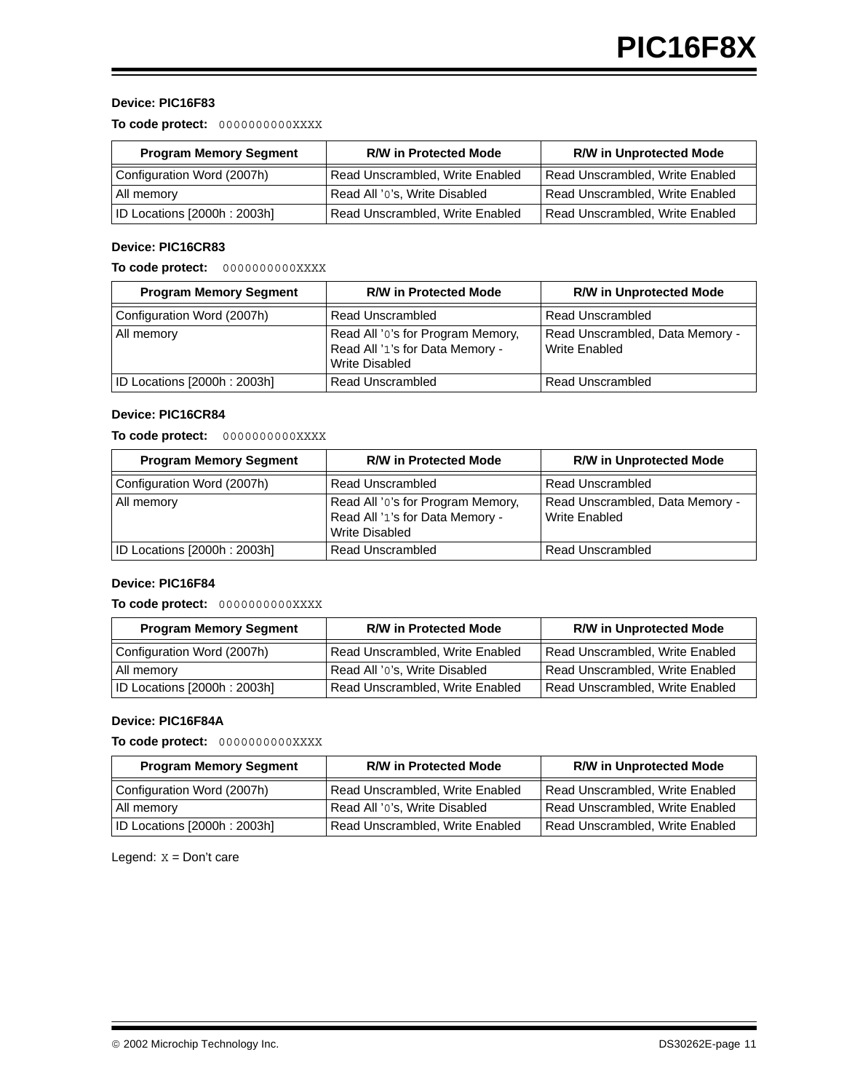#### <span id="page-10-0"></span>**Device: PIC16F83**

**To code protect:** 0000000000XXXX

| <b>Program Memory Segment</b> | <b>R/W</b> in Protected Mode    | <b>R/W</b> in Unprotected Mode  |
|-------------------------------|---------------------------------|---------------------------------|
| Configuration Word (2007h)    | Read Unscrambled, Write Enabled | Read Unscrambled, Write Enabled |
| All memory                    | Read All '0's, Write Disabled   | Read Unscrambled, Write Enabled |
| ID Locations [2000h : 2003h]  | Read Unscrambled, Write Enabled | Read Unscrambled, Write Enabled |

#### **Device: PIC16CR83**

**To code protect:** 0000000000XXXX

| <b>Program Memory Segment</b> | <b>R/W</b> in Protected Mode                                                                  | <b>R/W</b> in Unprotected Mode                   |
|-------------------------------|-----------------------------------------------------------------------------------------------|--------------------------------------------------|
| Configuration Word (2007h)    | Read Unscrambled                                                                              | <b>Read Unscrambled</b>                          |
| All memory                    | Read All 'o's for Program Memory,<br>Read All '1's for Data Memory -<br><b>Write Disabled</b> | Read Unscrambled, Data Memory -<br>Write Enabled |
| ID Locations [2000h : 2003h]  | <b>Read Unscrambled</b>                                                                       | Read Unscrambled                                 |

#### **Device: PIC16CR84**

**To code protect:** 0000000000XXXX

| <b>Program Memory Segment</b> | <b>R/W</b> in Protected Mode                                                           | <b>R/W in Unprotected Mode</b>                   |
|-------------------------------|----------------------------------------------------------------------------------------|--------------------------------------------------|
| Configuration Word (2007h)    | Read Unscrambled                                                                       | Read Unscrambled                                 |
| All memory                    | Read All 'o's for Program Memory,<br>Read All '1's for Data Memory -<br>Write Disabled | Read Unscrambled, Data Memory -<br>Write Enabled |
| ID Locations [2000h : 2003h]  | <b>Read Unscrambled</b>                                                                | Read Unscrambled                                 |

#### **Device: PIC16F84**

**To code protect:** 0000000000XXXX

| <b>Program Memory Segment</b> | <b>R/W</b> in Protected Mode    | <b>R/W in Unprotected Mode</b>  |
|-------------------------------|---------------------------------|---------------------------------|
| Configuration Word (2007h)    | Read Unscrambled, Write Enabled | Read Unscrambled, Write Enabled |
| All memory                    | Read All '0's, Write Disabled   | Read Unscrambled, Write Enabled |
| ID Locations [2000h : 2003h]  | Read Unscrambled, Write Enabled | Read Unscrambled, Write Enabled |

#### **Device: PIC16F84A**

**To code protect:** 0000000000XXXX

| <b>Program Memory Segment</b> | <b>R/W in Protected Mode</b>    | <b>R/W in Unprotected Mode</b>  |  |  |
|-------------------------------|---------------------------------|---------------------------------|--|--|
| Configuration Word (2007h)    | Read Unscrambled, Write Enabled | Read Unscrambled, Write Enabled |  |  |
| All memory                    | Read All '0's, Write Disabled   | Read Unscrambled, Write Enabled |  |  |
| ID Locations [2000h : 2003h]  | Read Unscrambled, Write Enabled | Read Unscrambled, Write Enabled |  |  |

Legend:  $X = Don't care$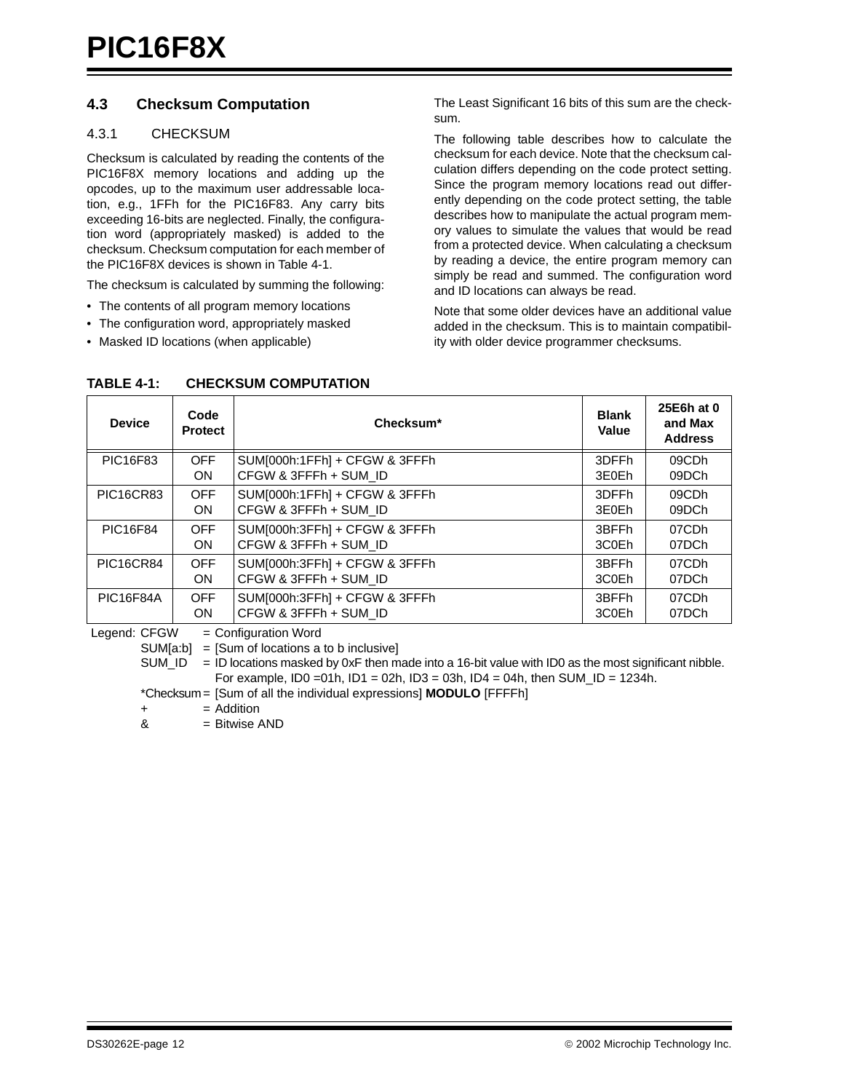## **4.3 Checksum Computation**

#### 4.3.1 CHECKSUM

Checksum is calculated by reading the contents of the PIC16F8X memory locations and adding up the opcodes, up to the maximum user addressable location, e.g., 1FFh for the PIC16F83. Any carry bits exceeding 16-bits are neglected. Finally, the configuration word (appropriately masked) is added to the checksum. Checksum computation for each member of the PIC16F8X devices is shown in [Table 4-1.](#page-11-0)

The checksum is calculated by summing the following:

- The contents of all program memory locations
- The configuration word, appropriately masked
- Masked ID locations (when applicable)

The Least Significant 16 bits of this sum are the checksum.

The following table describes how to calculate the checksum for each device. Note that the checksum calculation differs depending on the code protect setting. Since the program memory locations read out differently depending on the code protect setting, the table describes how to manipulate the actual program memory values to simulate the values that would be read from a protected device. When calculating a checksum by reading a device, the entire program memory can simply be read and summed. The configuration word and ID locations can always be read.

Note that some older devices have an additional value added in the checksum. This is to maintain compatibility with older device programmer checksums.

| <b>Device</b>    | Code<br><b>Protect</b> | Checksum*                     | <b>Blank</b><br>Value | 25E6h at 0<br>and Max<br><b>Address</b> |
|------------------|------------------------|-------------------------------|-----------------------|-----------------------------------------|
| PIC16F83         | OFF                    | SUM[000h:1FFh] + CFGW & 3FFFh | 3DFFh                 | 09CDh                                   |
|                  | <b>ON</b>              | CFGW & 3FFFh + SUM ID         | 3E0Eh                 | 09DCh                                   |
| <b>PIC16CR83</b> | <b>OFF</b>             | SUM[000h:1FFh] + CFGW & 3FFFh | 3DFFh                 | 09CDh                                   |
|                  | <b>ON</b>              | CFGW & 3FFFh + SUM ID         | 3E0Eh                 | 09DCh                                   |
| <b>PIC16F84</b>  | <b>OFF</b>             | SUM[000h:3FFh] + CFGW & 3FFFh | 3BFFh                 | 07CDh                                   |
|                  | <b>ON</b>              | CFGW & 3FFFh + SUM_ID         | 3C0Eh                 | 07DCh                                   |
| <b>PIC16CR84</b> | <b>OFF</b>             | SUM[000h:3FFh] + CFGW & 3FFFh | 3BFFh                 | 07CDh                                   |
|                  | <b>ON</b>              | CFGW & 3FFFh + SUM_ID         | 3C0Eh                 | 07DCh                                   |
| <b>PIC16F84A</b> | OFF                    | SUM[000h:3FFh] + CFGW & 3FFFh | 3BFFh                 | 07CDh                                   |
|                  | <b>ON</b>              | CFGW & 3FFFh + SUM_ID         | 3C0Eh                 | 07DCh                                   |

#### <span id="page-11-0"></span>**TABLE 4-1: CHECKSUM COMPUTATION**

Legend: CFGW = Configuration Word

SUM[a:b] = [Sum of locations a to b inclusive]

SUM  $ID = ID$  locations masked by 0xF then made into a 16-bit value with ID0 as the most significant nibble. For example, ID0 = 01h, ID1 = 02h, ID3 = 03h, ID4 = 04h, then SUM\_ID = 1234h.

\*Checksum = [Sum of all the individual expressions] **MODULO** [FFFFh]

 $+$   $=$  Addition

 $& = \text{Bitwise AND}$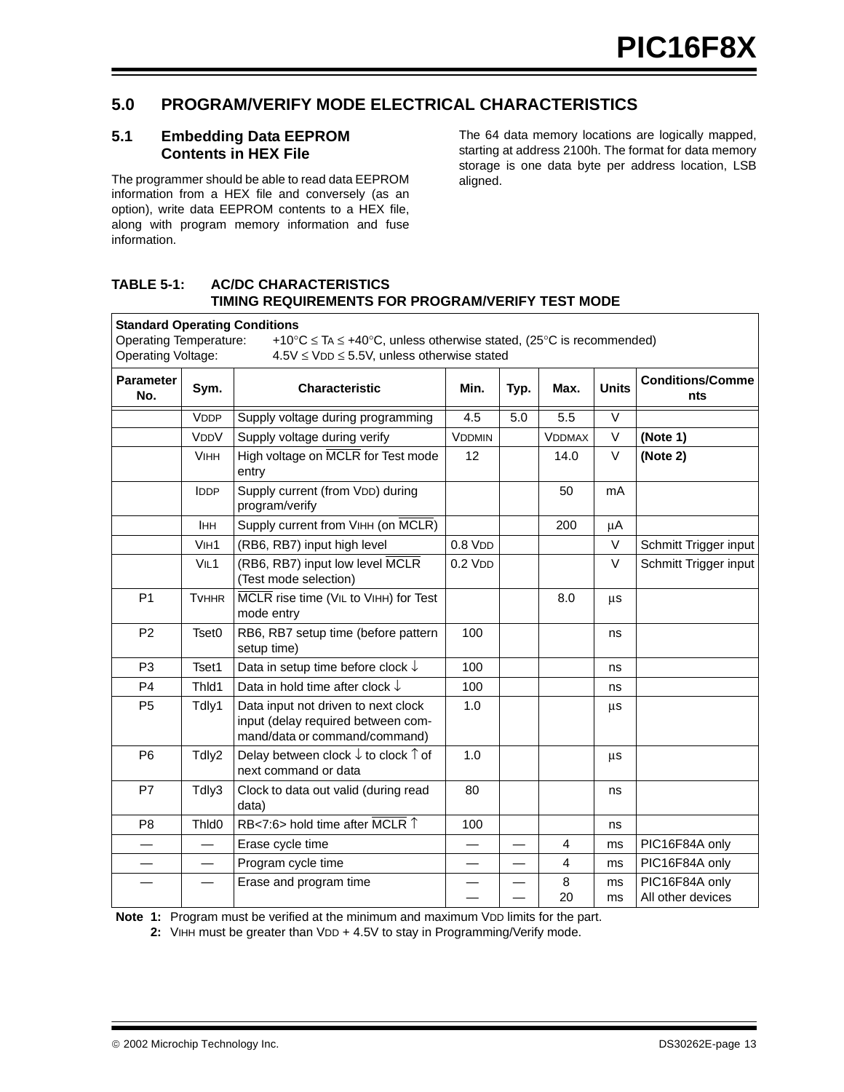## **5.0 PROGRAM/VERIFY MODE ELECTRICAL CHARACTERISTICS**

#### <span id="page-12-1"></span>**5.1 Embedding Data EEPROM Contents in HEX File**

**Standard Operating Conditions**<br>Constribution **Lage** 

The programmer should be able to read data EEPROM information from a HEX file and conversely (as an option), write data EEPROM contents to a HEX file, along with program memory information and fuse information.

The 64 data memory locations are logically mapped, starting at address 2100h. The format for data memory storage is one data byte per address location, LSB aligned.

#### <span id="page-12-0"></span>**TABLE 5-1: AC/DC CHARACTERISTICS TIMING REQUIREMENTS FOR PROGRAM/VERIFY TEST MODE**

| +10°C $\leq$ TA $\leq$ +40°C, unless otherwise stated, (25°C is recommended)<br><b>Operating Temperature:</b><br>Operating Voltage:<br>$4.5V \leq VDD \leq 5.5V$ , unless otherwise stated |                                                                                                            |                          |      |                |              |                                     |  |  |
|--------------------------------------------------------------------------------------------------------------------------------------------------------------------------------------------|------------------------------------------------------------------------------------------------------------|--------------------------|------|----------------|--------------|-------------------------------------|--|--|
| Sym.                                                                                                                                                                                       | <b>Characteristic</b>                                                                                      | Min.                     | Typ. | Max.           | <b>Units</b> | <b>Conditions/Comme</b><br>nts      |  |  |
| <b>VDDP</b>                                                                                                                                                                                | Supply voltage during programming                                                                          | 4.5                      | 5.0  | 5.5            | V            |                                     |  |  |
| VDDV                                                                                                                                                                                       | Supply voltage during verify                                                                               | <b>VDDMIN</b>            |      | <b>VDDMAX</b>  | $\vee$       | (Note 1)                            |  |  |
| <b>VIHH</b>                                                                                                                                                                                | High voltage on MCLR for Test mode<br>entry                                                                | 12                       |      | 14.0           | V            | (Note 2)                            |  |  |
| <b>IDDP</b>                                                                                                                                                                                | Supply current (from VDD) during<br>program/verify                                                         |                          |      | 50             | mA           |                                     |  |  |
| <b>IHH</b>                                                                                                                                                                                 | Supply current from VIHH (on MCLR)                                                                         |                          |      | 200            | μA           |                                     |  |  |
| V <sub>IH1</sub>                                                                                                                                                                           | (RB6, RB7) input high level                                                                                | $0.8$ VDD                |      |                | $\vee$       | Schmitt Trigger input               |  |  |
| VIL <sub>1</sub>                                                                                                                                                                           | (RB6, RB7) input low level MCLR<br>(Test mode selection)                                                   | $0.2$ V <sub>D</sub> $D$ |      |                | V            | Schmitt Trigger input               |  |  |
| <b>TVHHR</b>                                                                                                                                                                               | MCLR rise time (VIL to VIHH) for Test<br>mode entry                                                        |                          |      | 8.0            | μs           |                                     |  |  |
| Tset <sub>0</sub>                                                                                                                                                                          | RB6, RB7 setup time (before pattern<br>setup time)                                                         | 100                      |      |                | ns           |                                     |  |  |
| Tset1                                                                                                                                                                                      | Data in setup time before clock $\downarrow$                                                               | 100                      |      |                | ns           |                                     |  |  |
| Thid1                                                                                                                                                                                      | Data in hold time after clock $\downarrow$                                                                 | 100                      |      |                | ns           |                                     |  |  |
| Tdly1                                                                                                                                                                                      | Data input not driven to next clock<br>input (delay required between com-<br>mand/data or command/command) | 1.0                      |      |                | μs           |                                     |  |  |
| Tdly2                                                                                                                                                                                      | Delay between clock $\downarrow$ to clock $\uparrow$ of<br>next command or data                            | 1.0                      |      |                | μs           |                                     |  |  |
| Tdly3                                                                                                                                                                                      | Clock to data out valid (during read<br>data)                                                              | 80                       |      |                | ns           |                                     |  |  |
| Thid <sub>0</sub>                                                                                                                                                                          | RB<7:6> hold time after MCLR $\uparrow$                                                                    | 100                      |      |                | ns           |                                     |  |  |
| $\overbrace{\phantom{12333}}$                                                                                                                                                              | Erase cycle time                                                                                           |                          |      | $\overline{4}$ | ms           | PIC16F84A only                      |  |  |
|                                                                                                                                                                                            | Program cycle time                                                                                         |                          |      | $\overline{4}$ | ms           | PIC16F84A only                      |  |  |
|                                                                                                                                                                                            | Erase and program time                                                                                     |                          |      | 8<br>20        | ms<br>ms     | PIC16F84A only<br>All other devices |  |  |
|                                                                                                                                                                                            |                                                                                                            |                          |      |                |              |                                     |  |  |

**Note 1:** Program must be verified at the minimum and maximum VDD limits for the part.

**2:** VIHH must be greater than VDD + 4.5V to stay in Programming/Verify mode.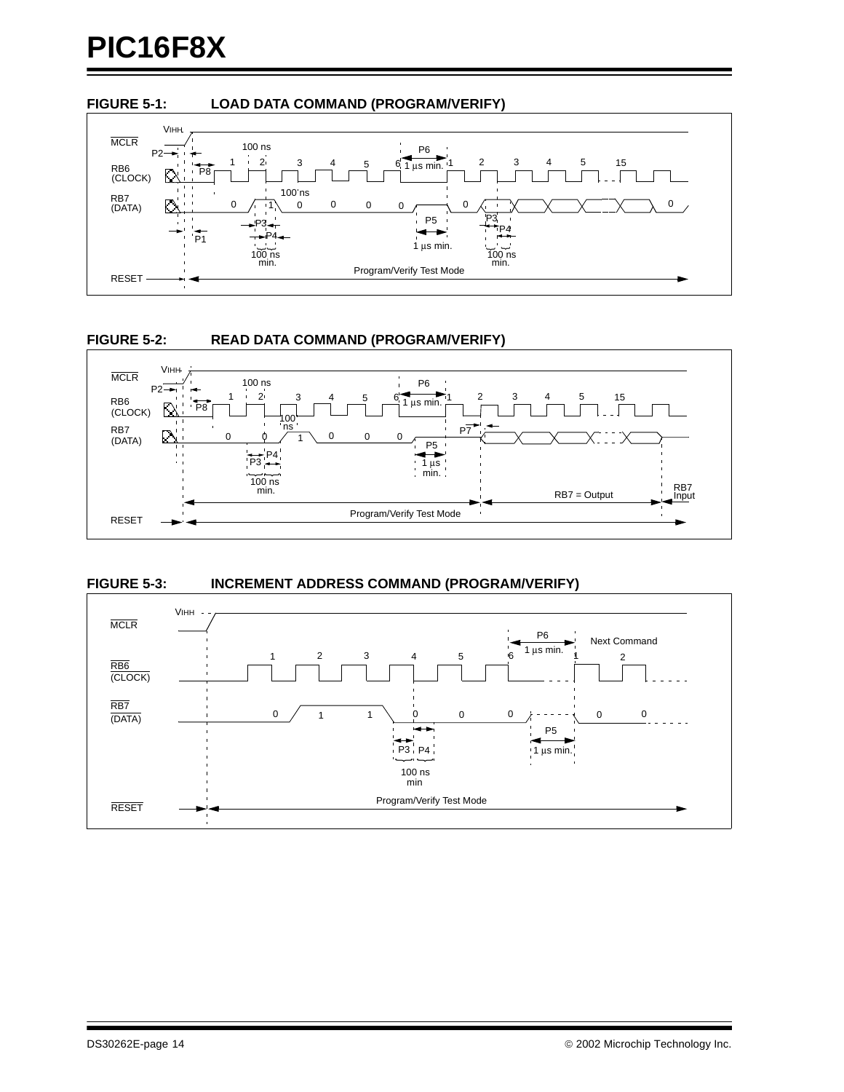<span id="page-13-0"></span>



<span id="page-13-1"></span>



<span id="page-13-2"></span>

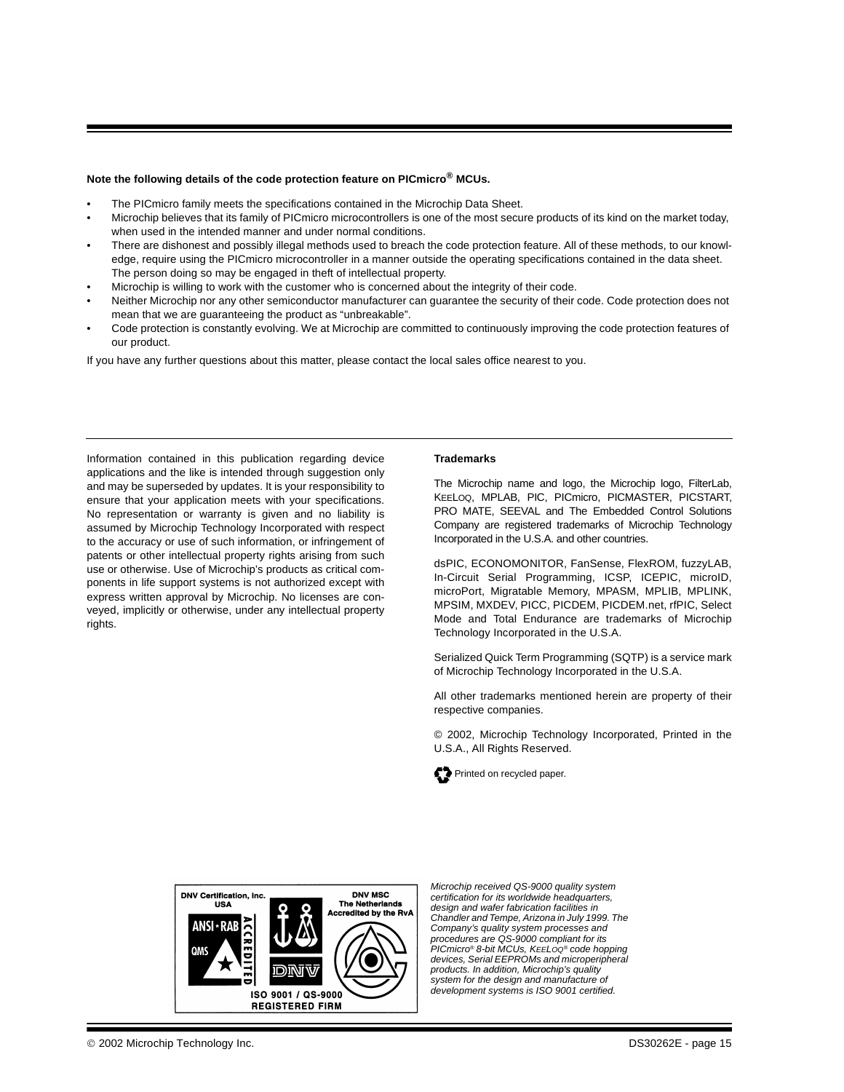#### **Note the following details of the code protection feature on PICmicro® MCUs.**

- The PICmicro family meets the specifications contained in the Microchip Data Sheet.
- Microchip believes that its family of PICmicro microcontrollers is one of the most secure products of its kind on the market today, when used in the intended manner and under normal conditions.
- There are dishonest and possibly illegal methods used to breach the code protection feature. All of these methods, to our knowledge, require using the PICmicro microcontroller in a manner outside the operating specifications contained in the data sheet. The person doing so may be engaged in theft of intellectual property.
- Microchip is willing to work with the customer who is concerned about the integrity of their code.
- Neither Microchip nor any other semiconductor manufacturer can guarantee the security of their code. Code protection does not mean that we are guaranteeing the product as "unbreakable".
- Code protection is constantly evolving. We at Microchip are committed to continuously improving the code protection features of our product.

If you have any further questions about this matter, please contact the local sales office nearest to you.

Information contained in this publication regarding device applications and the like is intended through suggestion only and may be superseded by updates. It is your responsibility to ensure that your application meets with your specifications. No representation or warranty is given and no liability is assumed by Microchip Technology Incorporated with respect to the accuracy or use of such information, or infringement of patents or other intellectual property rights arising from such use or otherwise. Use of Microchip's products as critical components in life support systems is not authorized except with express written approval by Microchip. No licenses are conveyed, implicitly or otherwise, under any intellectual property rights

#### **Trademarks**

The Microchip name and logo, the Microchip logo, FilterLab, KEELOQ, MPLAB, PIC, PICmicro, PICMASTER, PICSTART, PRO MATE, SEEVAL and The Embedded Control Solutions Company are registered trademarks of Microchip Technology Incorporated in the U.S.A. and other countries.

dsPIC, ECONOMONITOR, FanSense, FlexROM, fuzzyLAB, In-Circuit Serial Programming, ICSP, ICEPIC, microID, microPort, Migratable Memory, MPASM, MPLIB, MPLINK, MPSIM, MXDEV, PICC, PICDEM, PICDEM.net, rfPIC, Select Mode and Total Endurance are trademarks of Microchip Technology Incorporated in the U.S.A.

Serialized Quick Term Programming (SQTP) is a service mark of Microchip Technology Incorporated in the U.S.A.

All other trademarks mentioned herein are property of their respective companies.

© 2002, Microchip Technology Incorporated, Printed in the U.S.A., All Rights Reserved.





*Microchip received QS-9000 quality system certification for its worldwide headquarters, design and wafer fabrication facilities in Chandler and Tempe, Arizona in July 1999. The Company's quality system processes and procedures are QS-9000 compliant for its PICmicro® 8-bit MCUs, KEELOQ® code hopping devices, Serial EEPROMs and microperipheral products. In addition, Microchip's quality system for the design and manufacture of development systems is ISO 9001 certified.*